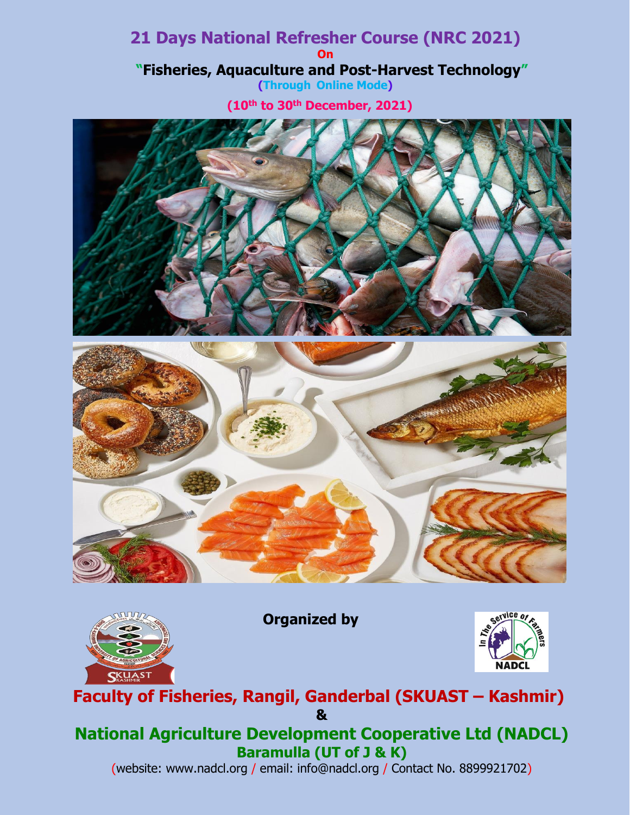# **21 Days National Refresher Course (NRC 2021) On "Fisheries, Aquaculture and Post-Harvest Technology" (Through Online Mode)**

**(10th to 30th December, 2021)**







**Organized by**



# **Faculty of Fisheries, Rangil, Ganderbal (SKUAST – Kashmir) &**

# **National Agriculture Development Cooperative Ltd (NADCL) Baramulla (UT of J & K)**

(website: www.nadcl.org / email: info@nadcl.org / Contact No. 8899921702)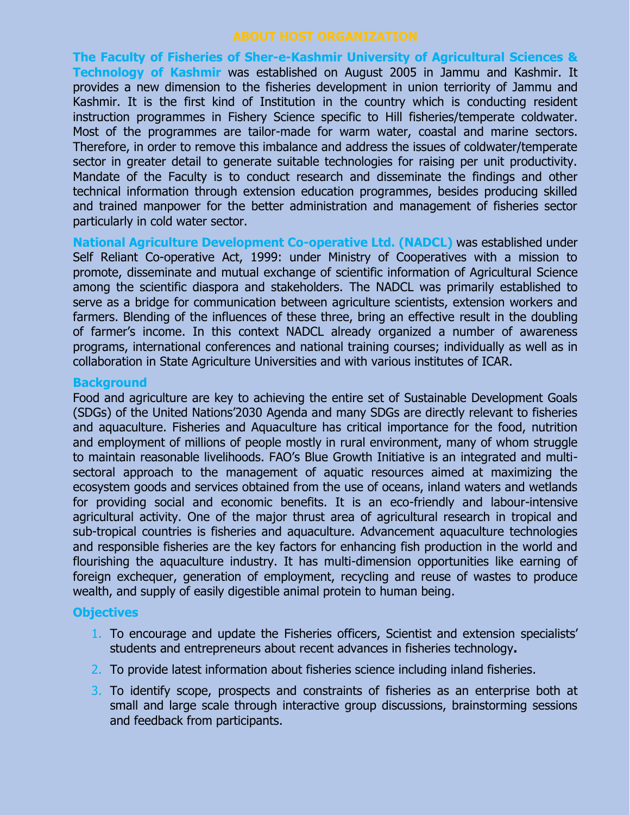**The Faculty of Fisheries of Sher-e-Kashmir University of Agricultural Sciences & Technology of Kashmir** was established on August 2005 in Jammu and Kashmir. It provides a new dimension to the fisheries development in union terriority of Jammu and Kashmir. It is the first kind of Institution in the country which is conducting resident instruction programmes in Fishery Science specific to Hill fisheries/temperate coldwater. Most of the programmes are tailor-made for warm water, coastal and marine sectors. Therefore, in order to remove this imbalance and address the issues of coldwater/temperate sector in greater detail to generate suitable technologies for raising per unit productivity. Mandate of the Faculty is to conduct research and disseminate the findings and other technical information through extension education programmes, besides producing skilled and trained manpower for the better administration and management of fisheries sector particularly in cold water sector.

**National Agriculture Development Co-operative Ltd. (NADCL)** was established under Self Reliant Co-operative Act, 1999: under Ministry of Cooperatives with a mission to promote, disseminate and mutual exchange of scientific information of Agricultural Science among the scientific diaspora and stakeholders. The NADCL was primarily established to serve as a bridge for communication between agriculture scientists, extension workers and farmers. Blending of the influences of these three, bring an effective result in the doubling of farmer's income. In this context NADCL already organized a number of awareness programs, international conferences and national training courses; individually as well as in collaboration in State Agriculture Universities and with various institutes of ICAR.

#### **Background**

Food and agriculture are key to achieving the entire set of Sustainable Development Goals (SDGs) of the United Nations'2030 Agenda and many SDGs are directly relevant to fisheries and aquaculture. Fisheries and Aquaculture has critical importance for the food, nutrition and employment of millions of people mostly in rural environment, many of whom struggle to maintain reasonable livelihoods. FAO's Blue Growth Initiative is an integrated and multisectoral approach to the management of aquatic resources aimed at maximizing the ecosystem goods and services obtained from the use of oceans, inland waters and wetlands for providing social and economic benefits. It is an eco-friendly and labour-intensive agricultural activity. One of the major thrust area of agricultural research in tropical and sub-tropical countries is fisheries and aquaculture. Advancement aquaculture technologies and responsible fisheries are the key factors for enhancing fish production in the world and flourishing the aquaculture industry. It has multi-dimension opportunities like earning of foreign exchequer, generation of employment, recycling and reuse of wastes to produce wealth, and supply of easily digestible animal protein to human being.

#### **Objectives**

- 1. To encourage and update the Fisheries officers, Scientist and extension specialists' students and entrepreneurs about recent advances in fisheries technology**.**
- 2. To provide latest information about fisheries science including inland fisheries.
- 3. To identify scope, prospects and constraints of fisheries as an enterprise both at small and large scale through interactive group discussions, brainstorming sessions and feedback from participants.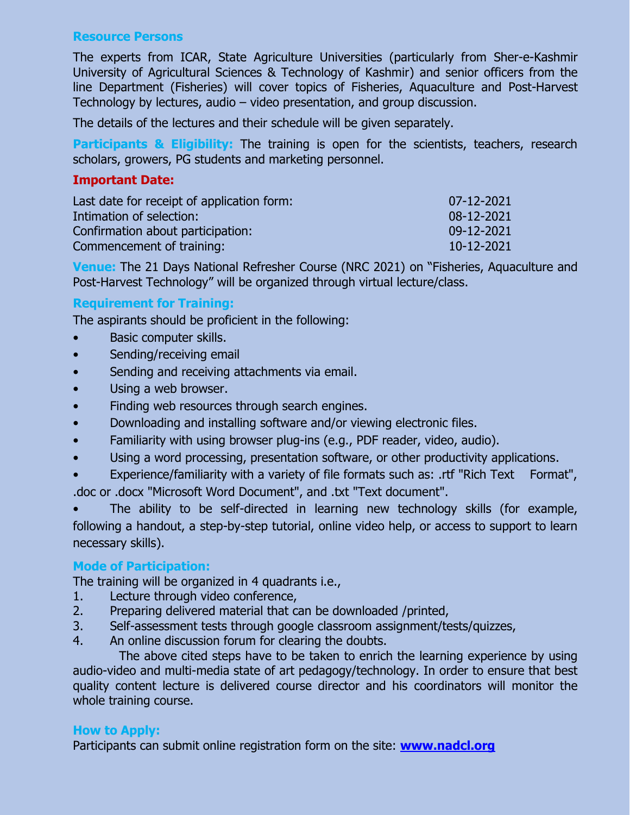## **Resource Persons**

The experts from ICAR, State Agriculture Universities (particularly from Sher-e-Kashmir University of Agricultural Sciences & Technology of Kashmir) and senior officers from the line Department (Fisheries) will cover topics of Fisheries, Aquaculture and Post-Harvest Technology by lectures, audio – video presentation, and group discussion.

The details of the lectures and their schedule will be given separately.

**Participants & Eligibility:** The training is open for the scientists, teachers, research scholars, growers, PG students and marketing personnel.

### **Important Date:**

| Last date for receipt of application form: | 07-12-2021 |
|--------------------------------------------|------------|
| Intimation of selection:                   | 08-12-2021 |
| Confirmation about participation:          | 09-12-2021 |
| Commencement of training:                  | 10-12-2021 |

**Venue:** The 21 Days National Refresher Course (NRC 2021) on "Fisheries, Aquaculture and Post-Harvest Technology" will be organized through virtual lecture/class.

# **Requirement for Training:**

The aspirants should be proficient in the following:

- Basic computer skills.
- Sending/receiving email
- Sending and receiving attachments via email.
- Using a web browser.
- Finding web resources through search engines.
- Downloading and installing software and/or viewing electronic files.
- Familiarity with using browser plug-ins (e.g., PDF reader, video, audio).
- Using a word processing, presentation software, or other productivity applications.
- Experience/familiarity with a variety of file formats such as: .rtf "Rich Text Format", .doc or .docx "Microsoft Word Document", and .txt "Text document".

The ability to be self-directed in learning new technology skills (for example, following a handout, a step-by-step tutorial, online video help, or access to support to learn necessary skills).

# **Mode of Participation:**

The training will be organized in 4 quadrants i.e.,

- 1. Lecture through video conference,
- 2. Preparing delivered material that can be downloaded /printed,
- 3. Self-assessment tests through google classroom assignment/tests/quizzes,
- 4. An online discussion forum for clearing the doubts.

 The above cited steps have to be taken to enrich the learning experience by using audio-video and multi-media state of art pedagogy/technology. In order to ensure that best quality content lecture is delivered course director and his coordinators will monitor the whole training course.

# **How to Apply:**

Participants can submit online registration form on the site: **[www.nadcl.org](http://www.nadcl.org/)**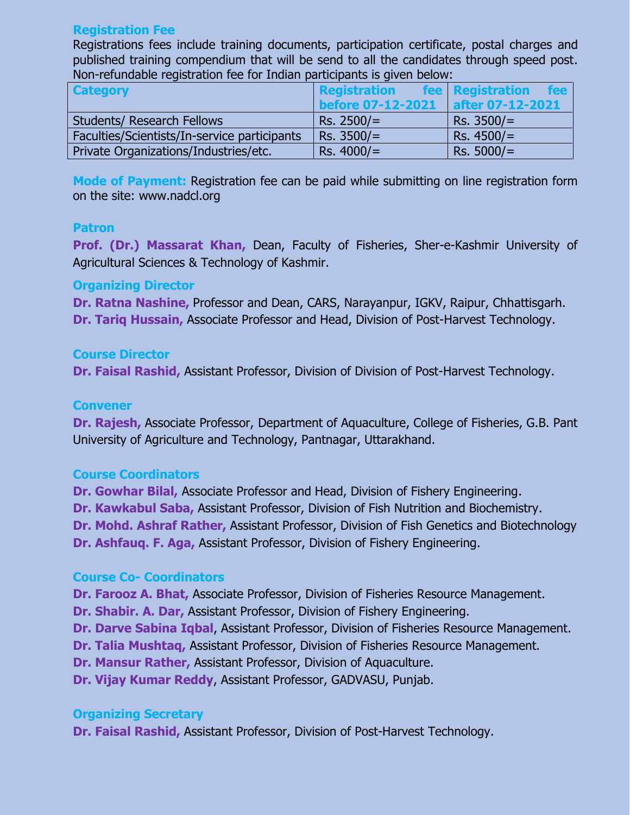#### **Registration Fee**

Registrations fees include training documents, participation certificate, postal charges and published training compendium that will be send to all the candidates through speed post. Non-refundable registration fee for Indian participants is given below:

| <b>Category</b>                              | <b>Registration</b>      | fee <b>Registration</b><br><b>fee</b> |
|----------------------------------------------|--------------------------|---------------------------------------|
|                                              | <b>before 07-12-2021</b> | <b>after 07-12-2021</b>               |
| <b>Students/ Research Fellows</b>            | $Rs. 2500/=$             | $Rs. 3500/=$                          |
| Faculties/Scientists/In-service participants | $Rs. 3500/=$             | $Rs. 4500 =$                          |
| Private Organizations/Industries/etc.        | $Rs. 4000/=$             | $Rs. 5000/=$                          |

**Mode of Payment:** Registration fee can be paid while submitting on line registration form on the site: www.nadcl.org

#### **Patron**

**Prof. (Dr.) Massarat Khan,** Dean, Faculty of Fisheries, Sher-e-Kashmir University of Agricultural Sciences & Technology of Kashmir.

#### **Organizing Director**

**Dr. Ratna Nashine,** Professor and Dean, CARS, Narayanpur, IGKV, Raipur, Chhattisgarh. **Dr. Tariq Hussain,** Associate Professor and Head, Division of Post-Harvest Technology.

#### **Course Director**

**Dr. Faisal Rashid,** Assistant Professor, Division of Division of Post-Harvest Technology.

#### **Convener**

**Dr. Rajesh,** Associate Professor, Department of Aquaculture, College of Fisheries, G.B. Pant University of Agriculture and Technology, Pantnagar, Uttarakhand.

#### **Course Coordinators**

**Dr. Gowhar Bilal,** Associate Professor and Head, Division of Fishery Engineering. **Dr. Kawkabul Saba,** Assistant Professor, Division of Fish Nutrition and Biochemistry. **Dr. Mohd. Ashraf Rather,** Assistant Professor, Division of Fish Genetics and Biotechnology **Dr. Ashfauq. F. Aga,** Assistant Professor, Division of Fishery Engineering.

#### **Course Co- Coordinators**

**Dr. Farooz A. Bhat,** Associate Professor, Division of Fisheries Resource Management.

**Dr. Shabir. A. Dar,** Assistant Professor, Division of Fishery Engineering.

**Dr. Darve Sabina Igbal, Assistant Professor, Division of Fisheries Resource Management.** 

**Dr. Talia Mushtaq,** Assistant Professor, Division of Fisheries Resource Management.

**Dr. Mansur Rather,** Assistant Professor, Division of Aquaculture.

**Dr. Vijay Kumar Reddy**, Assistant Professor, GADVASU, Punjab.

#### **Organizing Secretary**

**Dr. Faisal Rashid,** Assistant Professor, Division of Post-Harvest Technology.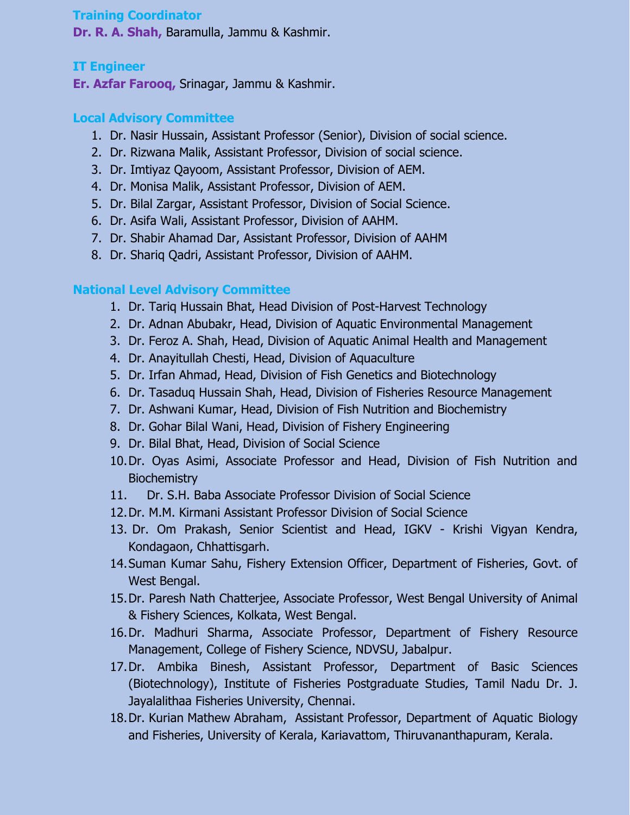### **Training Coordinator**

**Dr. R. A. Shah,** Baramulla, Jammu & Kashmir.

# **IT Engineer**

**Er. Azfar Farooq,** Srinagar, Jammu & Kashmir.

# **Local Advisory Committee**

- 1. Dr. Nasir Hussain, Assistant Professor (Senior), Division of social science.
- 2. Dr. Rizwana Malik, Assistant Professor, Division of social science.
- 3. Dr. Imtiyaz Qayoom, Assistant Professor, Division of AEM.
- 4. Dr. Monisa Malik, Assistant Professor, Division of AEM.
- 5. Dr. Bilal Zargar, Assistant Professor, Division of Social Science.
- 6. Dr. Asifa Wali, Assistant Professor, Division of AAHM.
- 7. Dr. Shabir Ahamad Dar, Assistant Professor, Division of AAHM
- 8. Dr. Shariq Qadri, Assistant Professor, Division of AAHM.

# **National Level Advisory Committee**

- 1. Dr. Tariq Hussain Bhat, Head Division of Post-Harvest Technology
- 2. Dr. Adnan Abubakr, Head, Division of Aquatic Environmental Management
- 3. Dr. Feroz A. Shah, Head, Division of Aquatic Animal Health and Management
- 4. Dr. Anayitullah Chesti, Head, Division of Aquaculture
- 5. Dr. Irfan Ahmad, Head, Division of Fish Genetics and Biotechnology
- 6. Dr. Tasaduq Hussain Shah, Head, Division of Fisheries Resource Management
- 7. Dr. Ashwani Kumar, Head, Division of Fish Nutrition and Biochemistry
- 8. Dr. Gohar Bilal Wani, Head, Division of Fishery Engineering
- 9. Dr. Bilal Bhat, Head, Division of Social Science
- 10.Dr. Oyas Asimi, Associate Professor and Head, Division of Fish Nutrition and **Biochemistry**
- 11. Dr. S.H. Baba Associate Professor Division of Social Science
- 12.Dr. M.M. Kirmani Assistant Professor Division of Social Science
- 13. Dr. Om Prakash, Senior Scientist and Head, IGKV Krishi Vigyan Kendra, Kondagaon, Chhattisgarh.
- 14.Suman Kumar Sahu, Fishery Extension Officer, Department of Fisheries, Govt. of West Bengal.
- 15.Dr. Paresh Nath Chatterjee, Associate Professor, West Bengal University of Animal & Fishery Sciences, Kolkata, West Bengal.
- 16.Dr. Madhuri Sharma, Associate Professor, Department of Fishery Resource Management, College of Fishery Science, NDVSU, Jabalpur.
- 17.Dr. Ambika Binesh, Assistant Professor, Department of Basic Sciences (Biotechnology), Institute of Fisheries Postgraduate Studies, Tamil Nadu Dr. J. Jayalalithaa Fisheries University, Chennai.
- 18.Dr. Kurian Mathew Abraham, Assistant Professor, Department of Aquatic Biology and Fisheries, University of Kerala, Kariavattom, Thiruvananthapuram, Kerala.